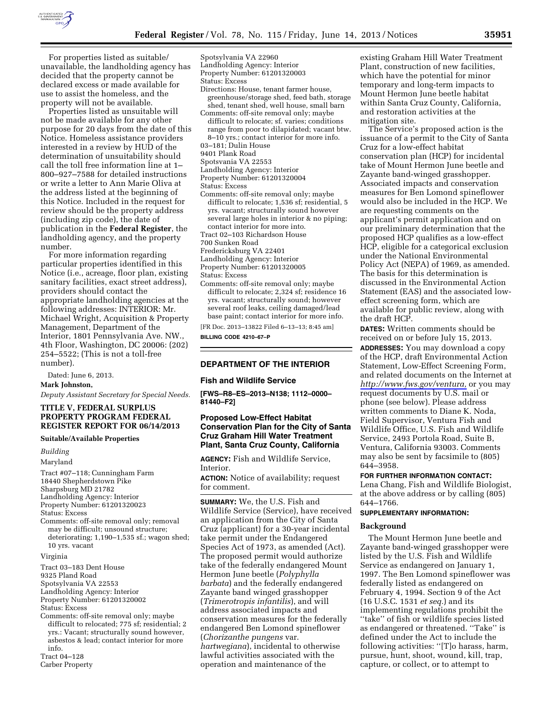

For properties listed as suitable/ unavailable, the landholding agency has decided that the property cannot be declared excess or made available for use to assist the homeless, and the property will not be available.

Properties listed as unsuitable will not be made available for any other purpose for 20 days from the date of this Notice. Homeless assistance providers interested in a review by HUD of the determination of unsuitability should call the toll free information line at 1– 800–927–7588 for detailed instructions or write a letter to Ann Marie Oliva at the address listed at the beginning of this Notice. Included in the request for review should be the property address (including zip code), the date of publication in the **Federal Register**, the landholding agency, and the property number.

For more information regarding particular properties identified in this Notice (i.e., acreage, floor plan, existing sanitary facilities, exact street address), providers should contact the appropriate landholding agencies at the following addresses: INTERIOR: Mr. Michael Wright, Acquisition & Property Management, Department of the Interior, 1801 Pennsylvania Ave. NW., 4th Floor, Washington, DC 20006: (202) 254–5522; (This is not a toll-free number).

Dated: June 6, 2013.

**Mark Johnston,** 

*Deputy Assistant Secretary for Special Needs.* 

## **TITLE V, FEDERAL SURPLUS PROPERTY PROGRAM FEDERAL REGISTER REPORT FOR 06/14/2013**

#### **Suitable/Available Properties**

*Building* 

Maryland

Tract #07–118; Cunningham Farm 18440 Shepherdstown Pike Sharpsburg MD 21782 Landholding Agency: Interior Property Number: 61201320023 Status: Excess Comments: off-site removal only; removal may be difficult; unsound structure; deteriorating; 1,190–1,535 sf.; wagon shed; 10 yrs. vacant Virginia Tract 03–183 Dent House 9325 Pland Road Spotsylvania VA 22553 Landholding Agency: Interior Property Number: 61201320002

Status: Excess

Comments: off-site removal only; maybe difficult to relocated; 775 sf; residential; 2 yrs.: Vacant; structurally sound however, asbestos & lead; contact interior for more info.

Tract 04–128

Spotsylvania VA 22960

- Landholding Agency: Interior
- Property Number: 61201320003

Status: Excess

- Directions: House, tenant farmer house, greenhouse/storage shed, feed bath, storage shed, tenant shed, well house, small barn
- Comments: off-site removal only; maybe difficult to relocate; sf. varies; conditions range from poor to dilapidated; vacant btw. 8–10 yrs.; contact interior for more info.
- 03–181; Dulin House
- 9401 Plank Road
- Spotsvania VA 22553
- Landholding Agency: Interior
- Property Number: 61201320004
- Status: Excess
- Comments: off-site removal only; maybe difficult to relocate; 1,536 sf; residential, 5 yrs. vacant; structurally sound however several large holes in interior & no piping; contact interior for more into.
- Tract 02–103 Richardson House
- 700 Sunken Road
- Fredericksburg VA 22401
- Landholding Agency: Interior
- Property Number: 61201320005
- Status: Excess

Comments: off-site removal only; maybe difficult to relocate; 2,324 sf; residence 16 yrs. vacant; structurally sound; however several roof leaks, ceiling damaged/lead base paint; contact interior for more info.

[FR Doc. 2013–13822 Filed 6–13–13; 8:45 am]

**BILLING CODE 4210–67–P** 

## **DEPARTMENT OF THE INTERIOR**

#### **Fish and Wildlife Service**

**[FWS–R8–ES–2013–N138; 1112–0000– 81440–F2]** 

# **Proposed Low-Effect Habitat Conservation Plan for the City of Santa Cruz Graham Hill Water Treatment Plant, Santa Cruz County, California**

**AGENCY:** Fish and Wildlife Service, Interior.

**ACTION:** Notice of availability; request for comment.

**SUMMARY:** We, the U.S. Fish and Wildlife Service (Service), have received an application from the City of Santa Cruz (applicant) for a 30-year incidental take permit under the Endangered Species Act of 1973, as amended (Act). The proposed permit would authorize take of the federally endangered Mount Hermon June beetle (*Polyphylla barbata*) and the federally endangered Zayante band winged grasshopper (*Trimerotropis infantilis*), and will address associated impacts and conservation measures for the federally endangered Ben Lomond spineflower (*Chorizanthe pungens* var. *hartwegiana*), incidental to otherwise lawful activities associated with the operation and maintenance of the

existing Graham Hill Water Treatment Plant, construction of new facilities, which have the potential for minor temporary and long-term impacts to Mount Hermon June beetle habitat within Santa Cruz County, California, and restoration activities at the mitigation site.

The Service's proposed action is the issuance of a permit to the City of Santa Cruz for a low-effect habitat conservation plan (HCP) for incidental take of Mount Hermon June beetle and Zayante band-winged grasshopper. Associated impacts and conservation measures for Ben Lomond spineflower would also be included in the HCP. We are requesting comments on the applicant's permit application and on our preliminary determination that the proposed HCP qualifies as a low-effect HCP, eligible for a categorical exclusion under the National Environmental Policy Act (NEPA) of 1969, as amended. The basis for this determination is discussed in the Environmental Action Statement (EAS) and the associated loweffect screening form, which are available for public review, along with the draft HCP.

**DATES:** Written comments should be received on or before July 15, 2013.

**ADDRESSES:** You may download a copy of the HCP, draft Environmental Action Statement, Low-Effect Screening Form, and related documents on the Internet at *[http://www.fws.gov/ventura,](http://www.fws.gov/ventura)* or you may request documents by U.S. mail or phone (see below). Please address written comments to Diane K. Noda, Field Supervisor, Ventura Fish and Wildlife Office, U.S. Fish and Wildlife Service, 2493 Portola Road, Suite B, Ventura, California 93003. Comments may also be sent by facsimile to (805) 644–3958.

#### **FOR FURTHER INFORMATION CONTACT:**

Lena Chang, Fish and Wildlife Biologist, at the above address or by calling (805) 644–1766.

## **SUPPLEMENTARY INFORMATION:**

### **Background**

The Mount Hermon June beetle and Zayante band-winged grasshopper were listed by the U.S. Fish and Wildlife Service as endangered on January 1, 1997. The Ben Lomond spineflower was federally listed as endangered on February 4, 1994. Section 9 of the Act (16 U.S.C. 1531 *et seq.*) and its implementing regulations prohibit the ''take'' of fish or wildlife species listed as endangered or threatened. ''Take'' is defined under the Act to include the following activities: ''[T]o harass, harm, pursue, hunt, shoot, wound, kill, trap, capture, or collect, or to attempt to

Carber Property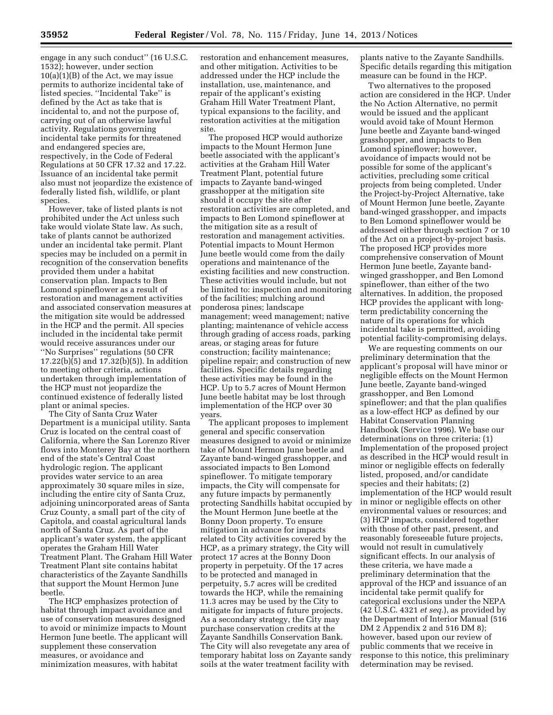engage in any such conduct'' (16 U.S.C. 1532); however, under section  $10(a)(1)(B)$  of the Act, we may issue permits to authorize incidental take of listed species. ''Incidental Take'' is defined by the Act as take that is incidental to, and not the purpose of, carrying out of an otherwise lawful activity. Regulations governing incidental take permits for threatened and endangered species are, respectively, in the Code of Federal Regulations at 50 CFR 17.32 and 17.22. Issuance of an incidental take permit also must not jeopardize the existence of federally listed fish, wildlife, or plant species.

However, take of listed plants is not prohibited under the Act unless such take would violate State law. As such, take of plants cannot be authorized under an incidental take permit. Plant species may be included on a permit in recognition of the conservation benefits provided them under a habitat conservation plan. Impacts to Ben Lomond spineflower as a result of restoration and management activities and associated conservation measures at the mitigation site would be addressed in the HCP and the permit. All species included in the incidental take permit would receive assurances under our ''No Surprises'' regulations (50 CFR 17.22(b)(5) and 17.32(b)(5)). In addition to meeting other criteria, actions undertaken through implementation of the HCP must not jeopardize the continued existence of federally listed plant or animal species.

The City of Santa Cruz Water Department is a municipal utility. Santa Cruz is located on the central coast of California, where the San Lorenzo River flows into Monterey Bay at the northern end of the state's Central Coast hydrologic region. The applicant provides water service to an area approximately 30 square miles in size, including the entire city of Santa Cruz, adjoining unincorporated areas of Santa Cruz County, a small part of the city of Capitola, and coastal agricultural lands north of Santa Cruz. As part of the applicant's water system, the applicant operates the Graham Hill Water Treatment Plant. The Graham Hill Water Treatment Plant site contains habitat characteristics of the Zayante Sandhills that support the Mount Hermon June beetle.

The HCP emphasizes protection of habitat through impact avoidance and use of conservation measures designed to avoid or minimize impacts to Mount Hermon June beetle. The applicant will supplement these conservation measures, or avoidance and minimization measures, with habitat

restoration and enhancement measures, and other mitigation. Activities to be addressed under the HCP include the installation, use, maintenance, and repair of the applicant's existing Graham Hill Water Treatment Plant, typical expansions to the facility, and restoration activities at the mitigation site.

The proposed HCP would authorize impacts to the Mount Hermon June beetle associated with the applicant's activities at the Graham Hill Water Treatment Plant, potential future impacts to Zayante band-winged grasshopper at the mitigation site should it occupy the site after restoration activities are completed, and impacts to Ben Lomond spineflower at the mitigation site as a result of restoration and management activities. Potential impacts to Mount Hermon June beetle would come from the daily operations and maintenance of the existing facilities and new construction. These activities would include, but not be limited to: inspection and monitoring of the facilities; mulching around ponderosa pines; landscape management; weed management; native planting; maintenance of vehicle access through grading of access roads, parking areas, or staging areas for future construction; facility maintenance; pipeline repair; and construction of new facilities. Specific details regarding these activities may be found in the HCP. Up to 5.7 acres of Mount Hermon June beetle habitat may be lost through implementation of the HCP over 30 years.

The applicant proposes to implement general and specific conservation measures designed to avoid or minimize take of Mount Hermon June beetle and Zayante band-winged grasshopper, and associated impacts to Ben Lomond spineflower. To mitigate temporary impacts, the City will compensate for any future impacts by permanently protecting Sandhills habitat occupied by the Mount Hermon June beetle at the Bonny Doon property. To ensure mitigation in advance for impacts related to City activities covered by the HCP, as a primary strategy, the City will protect 17 acres at the Bonny Doon property in perpetuity. Of the 17 acres to be protected and managed in perpetuity, 5.7 acres will be credited towards the HCP, while the remaining 11.3 acres may be used by the City to mitigate for impacts of future projects. As a secondary strategy, the City may purchase conservation credits at the Zayante Sandhills Conservation Bank. The City will also revegetate any area of temporary habitat loss on Zayante sandy soils at the water treatment facility with

plants native to the Zayante Sandhills. Specific details regarding this mitigation measure can be found in the HCP.

Two alternatives to the proposed action are considered in the HCP. Under the No Action Alternative, no permit would be issued and the applicant would avoid take of Mount Hermon June beetle and Zayante band-winged grasshopper, and impacts to Ben Lomond spineflower; however, avoidance of impacts would not be possible for some of the applicant's activities, precluding some critical projects from being completed. Under the Project-by-Project Alternative, take of Mount Hermon June beetle, Zayante band-winged grasshopper, and impacts to Ben Lomond spineflower would be addressed either through section 7 or 10 of the Act on a project-by-project basis. The proposed HCP provides more comprehensive conservation of Mount Hermon June beetle, Zayante bandwinged grasshopper, and Ben Lomond spineflower, than either of the two alternatives. In addition, the proposed HCP provides the applicant with longterm predictability concerning the nature of its operations for which incidental take is permitted, avoiding potential facility-compromising delays.

We are requesting comments on our preliminary determination that the applicant's proposal will have minor or negligible effects on the Mount Hermon June beetle, Zayante band-winged grasshopper, and Ben Lomond spineflower; and that the plan qualifies as a low-effect HCP as defined by our Habitat Conservation Planning Handbook (Service 1996). We base our determinations on three criteria: (1) Implementation of the proposed project as described in the HCP would result in minor or negligible effects on federally listed, proposed, and/or candidate species and their habitats; (2) implementation of the HCP would result in minor or negligible effects on other environmental values or resources; and (3) HCP impacts, considered together with those of other past, present, and reasonably foreseeable future projects, would not result in cumulatively significant effects. In our analysis of these criteria, we have made a preliminary determination that the approval of the HCP and issuance of an incidental take permit qualify for categorical exclusions under the NEPA (42 U.S.C. 4321 *et seq.*), as provided by the Department of Interior Manual (516 DM 2 Appendix 2 and 516 DM 8); however, based upon our review of public comments that we receive in response to this notice, this preliminary determination may be revised.